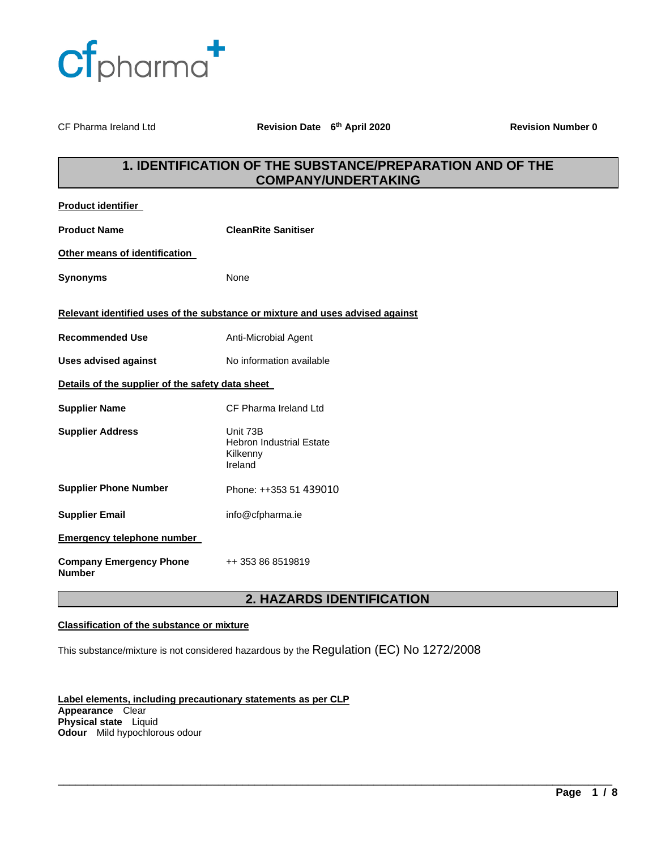

CF Pharma Ireland Ltd **Revision Date 6<sup>th</sup> April 2020** 

**Revision Number 0** 

# **1. IDENTIFICATION OF THE SUBSTANCE/PREPARATION AND OF THE COMPANY/UNDERTAKING**

| <b>Product identifier</b>                        |                                                                               |  |
|--------------------------------------------------|-------------------------------------------------------------------------------|--|
| <b>Product Name</b>                              | <b>CleanRite Sanitiser</b>                                                    |  |
| Other means of identification                    |                                                                               |  |
| <b>Synonyms</b>                                  | None                                                                          |  |
|                                                  | Relevant identified uses of the substance or mixture and uses advised against |  |
| <b>Recommended Use</b>                           | Anti-Microbial Agent                                                          |  |
| <b>Uses advised against</b>                      | No information available                                                      |  |
| Details of the supplier of the safety data sheet |                                                                               |  |
| <b>Supplier Name</b>                             | CF Pharma Ireland Ltd                                                         |  |
| <b>Supplier Address</b>                          | Unit 73B<br><b>Hebron Industrial Estate</b><br>Kilkenny<br>Ireland            |  |
| <b>Supplier Phone Number</b>                     | Phone: ++353 51 439010                                                        |  |
| <b>Supplier Email</b>                            | info@cfpharma.ie                                                              |  |
| <b>Emergency telephone number</b>                |                                                                               |  |
| <b>Company Emergency Phone</b><br><b>Number</b>  | ++ 353 86 8519819                                                             |  |

# **2. HAZARDS IDENTIFICATION**

\_\_\_\_\_\_\_\_\_\_\_\_\_\_\_\_\_\_\_\_\_\_\_\_\_\_\_\_\_\_\_\_\_\_\_\_\_\_\_\_\_\_\_\_\_\_\_\_\_\_\_\_\_\_\_\_\_\_\_\_\_\_\_\_\_\_\_\_\_\_\_\_\_\_\_\_\_\_\_\_\_\_\_\_\_\_\_\_\_\_\_\_\_

### **Classification of the substance or mixture**

This substance/mixture is not considered hazardous by the Regulation (EC) No 1272/2008

**Label elements, including precautionary statements as per CLP Appearance** Clear **Physical state** Liquid **Odour** Mild hypochlorous odour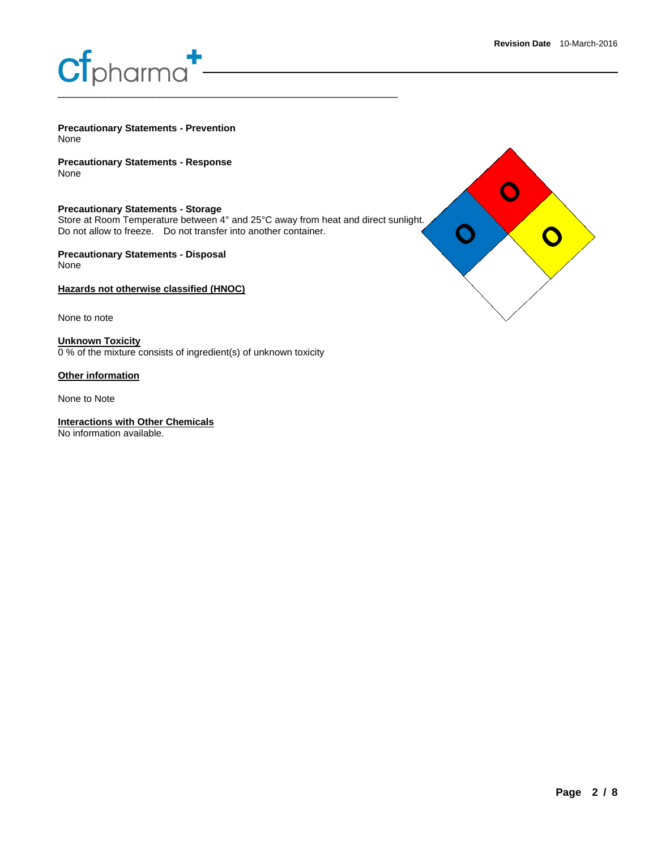# **Cf**pharma<sup>1</sup> \_\_\_\_\_\_\_\_\_\_\_\_\_\_\_\_\_\_\_\_\_\_\_\_\_\_\_\_\_\_\_\_\_\_\_\_\_\_\_\_\_\_\_\_\_\_\_\_\_\_\_\_\_\_\_\_\_

**Precautionary Statements - Prevention** None

**Precautionary Statements - Response** None

**Precautionary Statements - Storage** Store at Room Temperature between 4° and 25°C away from heat and direct sunlight. Do not allow to freeze. Do not transfer into another container.

**Precautionary Statements - Disposal** None

**Hazards not otherwise classified (HNOC)**

None to note

**Unknown Toxicity** 0 % of the mixture consists of ingredient(s) of unknown toxicity

**Other information**

None to Note

**Interactions with Other Chemicals**

No information available.

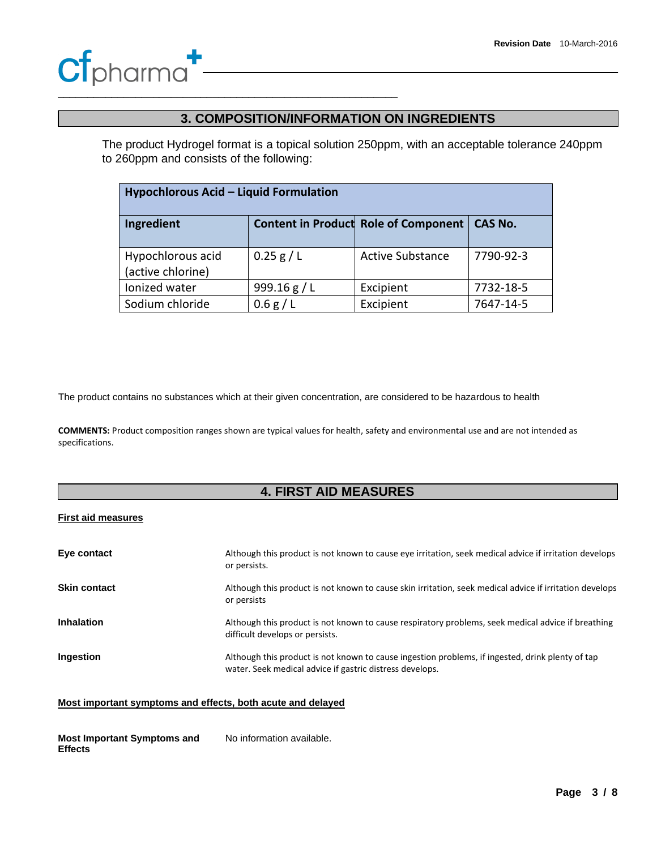# **Cf**pharma<sup>1</sup>

\_\_\_\_\_\_\_\_\_\_\_\_\_\_\_\_\_\_\_\_\_\_\_\_\_\_\_\_\_\_\_\_\_\_\_\_\_\_\_\_\_\_\_\_\_\_\_\_\_\_\_\_\_\_\_\_\_

## **3. COMPOSITION/INFORMATION ON INGREDIENTS**

The product Hydrogel format is a topical solution 250ppm, with an acceptable tolerance 240ppm to 260ppm and consists of the following:

| Hypochlorous Acid - Liquid Formulation |              |                                             |                |
|----------------------------------------|--------------|---------------------------------------------|----------------|
| Ingredient                             |              | <b>Content in Product Role of Component</b> | <b>CAS No.</b> |
| Hypochlorous acid<br>(active chlorine) | 0.25 g/L     | <b>Active Substance</b>                     | 7790-92-3      |
| Ionized water                          | 999.16 $g/L$ | Excipient                                   | 7732-18-5      |
| Sodium chloride                        | 0.6 g/L      | Excipient                                   | 7647-14-5      |

The product contains no substances which at their given concentration, are considered to be hazardous to health

**COMMENTS:** Product composition ranges shown are typical values for health, safety and environmental use and are not intended as specifications.

# **4. FIRST AID MEASURES**

### **First aid measures**

| Eye contact         | Although this product is not known to cause eye irritation, seek medical advice if irritation develops<br>or persists.                                       |
|---------------------|--------------------------------------------------------------------------------------------------------------------------------------------------------------|
| <b>Skin contact</b> | Although this product is not known to cause skin irritation, seek medical advice if irritation develops<br>or persists                                       |
| <b>Inhalation</b>   | Although this product is not known to cause respiratory problems, seek medical advice if breathing<br>difficult develops or persists.                        |
| Ingestion           | Although this product is not known to cause ingestion problems, if ingested, drink plenty of tap<br>water. Seek medical advice if gastric distress develops. |

### **Most important symptoms and effects, both acute and delayed**

**Most Important Symptoms and Effects** No information available.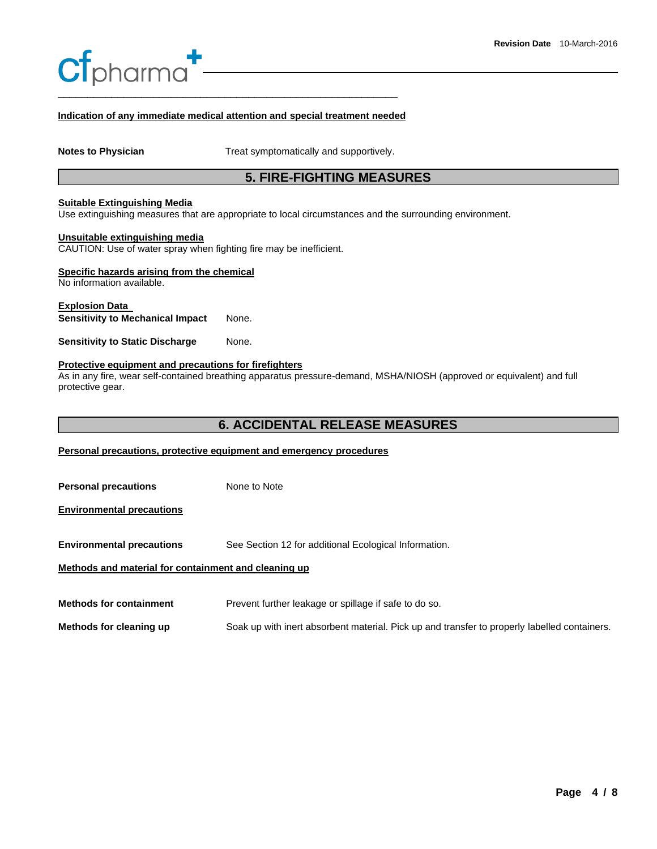# **f**pharma<sup></sup> \_\_\_\_\_\_\_\_\_\_\_\_\_\_\_\_\_\_\_\_\_\_\_\_\_\_\_\_\_\_\_\_\_\_\_\_\_\_\_\_\_\_\_\_\_\_\_\_\_\_\_\_\_\_\_\_\_

### **Indication of any immediate medical attention and special treatment needed**

**Notes to Physician <b>Notes** to Physician **Treat symptomatically and supportively.** 

### **5. FIRE-FIGHTING MEASURES**

#### **Suitable Extinguishing Media**

Use extinguishing measures that are appropriate to local circumstances and the surrounding environment.

#### **Unsuitable extinguishing media**

CAUTION: Use of water spray when fighting fire may be inefficient.

### **Specific hazards arising from the chemical**

No information available.

### **Explosion Data Sensitivity to Mechanical Impact** None.

**Sensitivity to Static Discharge Mone.** 

#### **Protective equipment and precautions for firefighters**

As in any fire, wear self-contained breathing apparatus pressure-demand, MSHA/NIOSH (approved or equivalent) and full protective gear.

### **6. ACCIDENTAL RELEASE MEASURES**

### **Personal precautions, protective equipment and emergency procedures**

| <b>Personal precautions</b>                          | None to Note                                                                                 |
|------------------------------------------------------|----------------------------------------------------------------------------------------------|
| <b>Environmental precautions</b>                     |                                                                                              |
| <b>Environmental precautions</b>                     | See Section 12 for additional Ecological Information.                                        |
| Methods and material for containment and cleaning up |                                                                                              |
| <b>Methods for containment</b>                       | Prevent further leakage or spillage if safe to do so.                                        |
| Methods for cleaning up                              | Soak up with inert absorbent material. Pick up and transfer to properly labelled containers. |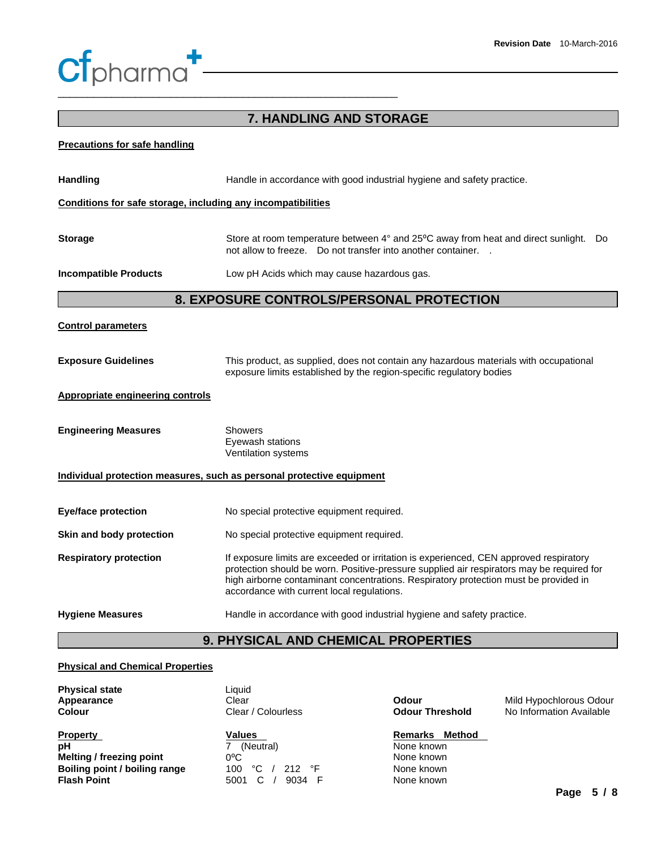# **Cf**pharma<sup>1</sup> \_\_\_\_\_\_\_\_\_\_\_\_\_\_\_\_\_\_\_\_\_\_\_\_\_\_\_\_\_\_\_\_\_\_\_\_\_\_\_\_\_\_\_\_\_\_\_\_\_\_\_\_\_\_\_\_\_

# **7. HANDLING AND STORAGE Precautions for safe handling** Handling **Handle in accordance with good industrial hygiene and safety practice. Conditions for safe storage, including any incompatibilities Storage** Store at room temperature between 4° and 25°C away from heat and direct sunlight. Do not allow to freeze. Do not transfer into another container. . **Incompatible Products** Low pH Acids which may cause hazardous gas. **8. EXPOSURE CONTROLS/PERSONAL PROTECTION Control parameters Exposure Guidelines** This product, as supplied, does not contain any hazardous materials with occupational exposure limits established by the region-specific regulatory bodies **Appropriate engineering controls Engineering Measures Showers** Eyewash stations Ventilation systems **Individual protection measures, such as personal protective equipment Eye/face protection No special protective equipment required. Skin and body protection No special protective equipment required. Respiratory protection If** exposure limits are exceeded or irritation is experienced, CEN approved respiratory protection should be worn. Positive-pressure supplied air respirators may be required for high airborne contaminant concentrations. Respiratory protection must be provided in accordance with current local regulations. **Hygiene Measures** Handle in accordance with good industrial hygiene and safety practice.

# **9. PHYSICAL AND CHEMICAL PROPERTIES**

### **Physical and Chemical Properties**

| <b>Physical state</b>         | Liauid                        |                    |
|-------------------------------|-------------------------------|--------------------|
| Appearance                    | Clear                         | Odour              |
| <b>Colour</b>                 | Clear / Colourless            | <b>Odour Thres</b> |
| <b>Property</b>               | <b>Values</b>                 | Remarks N          |
| рH                            | (Neutral)                     | None known         |
| Melting / freezing point      | $0^{\circ}$ C                 | None known         |
| Boiling point / boiling range | °C<br>212 $\degree$ F<br>100. | None known         |
| <b>Flash Point</b>            | 9034<br>5001                  | None known         |

| Odour                  |  |
|------------------------|--|
| <b>Odour Threshold</b> |  |

**Mild Hypochlorous Odour No Information Available** 

### **Remarks Method**

**None known None known**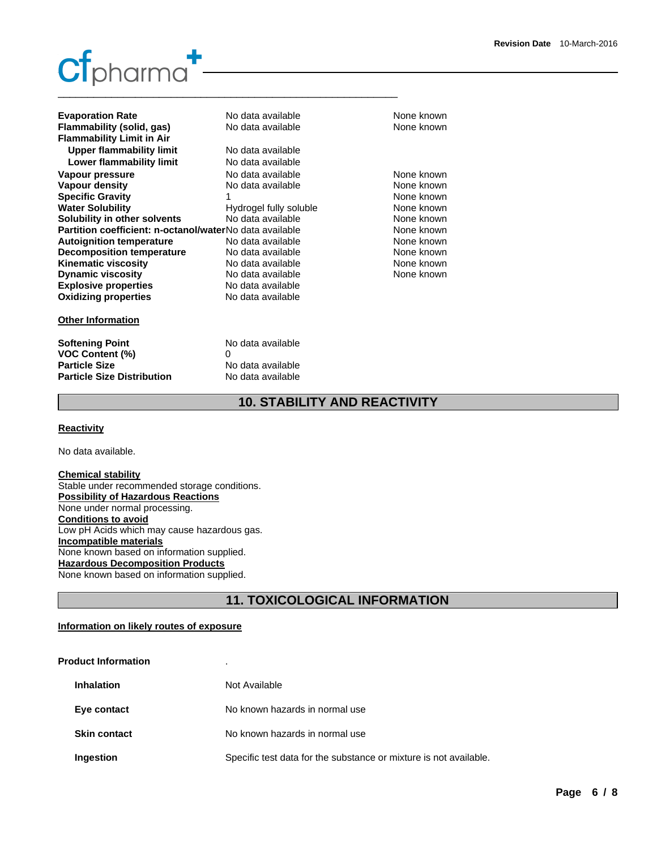# **Simple Science Ltd**  \_\_\_\_\_\_\_\_\_\_\_\_\_\_\_\_\_\_\_\_\_\_\_\_\_\_\_\_\_\_\_\_\_\_\_\_\_\_\_\_\_\_\_\_\_\_\_\_\_\_\_\_\_\_\_\_\_

| No data available                                                | None known |
|------------------------------------------------------------------|------------|
| No data available                                                | None known |
|                                                                  |            |
| No data available                                                |            |
| No data available                                                |            |
| No data available                                                | None known |
| No data available                                                | None known |
|                                                                  | None known |
| Hydrogel fully soluble                                           | None known |
| No data available                                                | None known |
| Partition coefficient: n-octanol/waterNo data available          | None known |
| No data available                                                | None known |
| No data available                                                | None known |
| No data available                                                | None known |
| No data available                                                | None known |
| No data available                                                |            |
| No data available                                                |            |
|                                                                  |            |
| No data available<br>0<br>No data available<br>No data available |            |
|                                                                  |            |

# **10. STABILITY AND REACTIVITY**

### **Reactivity**

No data available.

### **Chemical stability**

Stable under recommended storage conditions. **Possibility of Hazardous Reactions** None under normal processing. **Conditions to avoid** Low pH Acids which may cause hazardous gas. **Incompatible materials** None known based on information supplied. **Hazardous Decomposition Products** None known based on information supplied.

# **11. TOXICOLOGICAL INFORMATION**

### **Information on likely routes of exposure**

| <b>Product Information</b> | ٠.                                                                |
|----------------------------|-------------------------------------------------------------------|
| <b>Inhalation</b>          | Not Available                                                     |
| Eye contact                | No known hazards in normal use                                    |
| <b>Skin contact</b>        | No known hazards in normal use                                    |
| Ingestion                  | Specific test data for the substance or mixture is not available. |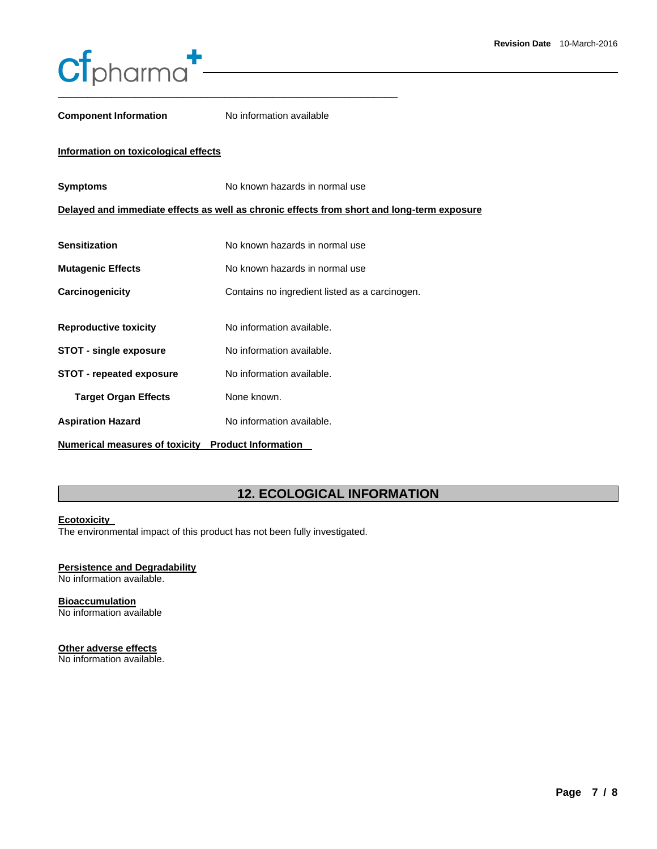

**Component Information No information available** 

### **Information on toxicological effects**

| <b>Symptoms</b>                       | No known hazards in normal use                                                             |
|---------------------------------------|--------------------------------------------------------------------------------------------|
|                                       | Delayed and immediate effects as well as chronic effects from short and long-term exposure |
|                                       |                                                                                            |
| <b>Sensitization</b>                  | No known hazards in normal use                                                             |
| <b>Mutagenic Effects</b>              | No known hazards in normal use                                                             |
| Carcinogenicity                       | Contains no ingredient listed as a carcinogen.                                             |
|                                       |                                                                                            |
| <b>Reproductive toxicity</b>          | No information available.                                                                  |
| <b>STOT - single exposure</b>         | No information available.                                                                  |
| <b>STOT - repeated exposure</b>       | No information available.                                                                  |
| <b>Target Organ Effects</b>           | None known.                                                                                |
| <b>Aspiration Hazard</b>              | No information available.                                                                  |
| <b>Numerical measures of toxicity</b> | <b>Product Information</b>                                                                 |

# **12. ECOLOGICAL INFORMATION**

### **Ecotoxicity**

The environmental impact of this product has not been fully investigated.

### **Persistence and Degradability**

No information available.

### **Bioaccumulation**

No information available

### **Other adverse effects**

No information available.